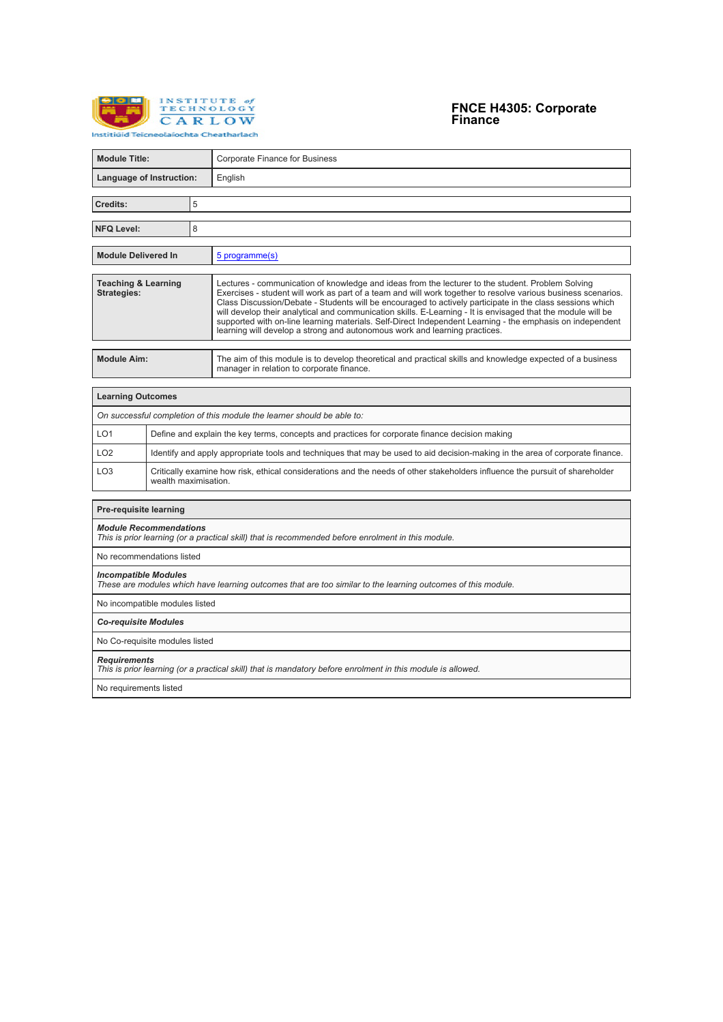

# **FNCE H4305: Corporate Finance**

| <b>Module Title:</b>                                                                                                                        |                                                                                                                                                      |   | <b>Corporate Finance for Business</b>                                                                                                                                                                                                                                                                                                                                                                                                                                                                                                                                                                                                      |  |  |
|---------------------------------------------------------------------------------------------------------------------------------------------|------------------------------------------------------------------------------------------------------------------------------------------------------|---|--------------------------------------------------------------------------------------------------------------------------------------------------------------------------------------------------------------------------------------------------------------------------------------------------------------------------------------------------------------------------------------------------------------------------------------------------------------------------------------------------------------------------------------------------------------------------------------------------------------------------------------------|--|--|
| Language of Instruction:                                                                                                                    |                                                                                                                                                      |   | English                                                                                                                                                                                                                                                                                                                                                                                                                                                                                                                                                                                                                                    |  |  |
| Credits:                                                                                                                                    |                                                                                                                                                      | 5 |                                                                                                                                                                                                                                                                                                                                                                                                                                                                                                                                                                                                                                            |  |  |
|                                                                                                                                             |                                                                                                                                                      |   |                                                                                                                                                                                                                                                                                                                                                                                                                                                                                                                                                                                                                                            |  |  |
| <b>NFQ Level:</b>                                                                                                                           |                                                                                                                                                      | 8 |                                                                                                                                                                                                                                                                                                                                                                                                                                                                                                                                                                                                                                            |  |  |
| <b>Module Delivered In</b>                                                                                                                  |                                                                                                                                                      |   | 5 programme(s)                                                                                                                                                                                                                                                                                                                                                                                                                                                                                                                                                                                                                             |  |  |
| <b>Teaching &amp; Learning</b><br><b>Strategies:</b>                                                                                        |                                                                                                                                                      |   | Lectures - communication of knowledge and ideas from the lecturer to the student. Problem Solving<br>Exercises - student will work as part of a team and will work together to resolve various business scenarios.<br>Class Discussion/Debate - Students will be encouraged to actively participate in the class sessions which<br>will develop their analytical and communication skills. E-Learning - It is envisaged that the module will be<br>supported with on-line learning materials. Self-Direct Independent Learning - the emphasis on independent<br>learning will develop a strong and autonomous work and learning practices. |  |  |
| <b>Module Aim:</b>                                                                                                                          |                                                                                                                                                      |   | The aim of this module is to develop theoretical and practical skills and knowledge expected of a business<br>manager in relation to corporate finance.                                                                                                                                                                                                                                                                                                                                                                                                                                                                                    |  |  |
| <b>Learning Outcomes</b>                                                                                                                    |                                                                                                                                                      |   |                                                                                                                                                                                                                                                                                                                                                                                                                                                                                                                                                                                                                                            |  |  |
|                                                                                                                                             |                                                                                                                                                      |   | On successful completion of this module the learner should be able to:                                                                                                                                                                                                                                                                                                                                                                                                                                                                                                                                                                     |  |  |
| LO <sub>1</sub>                                                                                                                             | Define and explain the key terms, concepts and practices for corporate finance decision making                                                       |   |                                                                                                                                                                                                                                                                                                                                                                                                                                                                                                                                                                                                                                            |  |  |
| LO <sub>2</sub>                                                                                                                             |                                                                                                                                                      |   | Identify and apply appropriate tools and techniques that may be used to aid decision-making in the area of corporate finance.                                                                                                                                                                                                                                                                                                                                                                                                                                                                                                              |  |  |
| LO <sub>3</sub>                                                                                                                             | Critically examine how risk, ethical considerations and the needs of other stakeholders influence the pursuit of shareholder<br>wealth maximisation. |   |                                                                                                                                                                                                                                                                                                                                                                                                                                                                                                                                                                                                                                            |  |  |
| <b>Pre-requisite learning</b>                                                                                                               |                                                                                                                                                      |   |                                                                                                                                                                                                                                                                                                                                                                                                                                                                                                                                                                                                                                            |  |  |
| <b>Module Recommendations</b>                                                                                                               |                                                                                                                                                      |   | This is prior learning (or a practical skill) that is recommended before enrolment in this module.                                                                                                                                                                                                                                                                                                                                                                                                                                                                                                                                         |  |  |
| No recommendations listed                                                                                                                   |                                                                                                                                                      |   |                                                                                                                                                                                                                                                                                                                                                                                                                                                                                                                                                                                                                                            |  |  |
| <b>Incompatible Modules</b><br>These are modules which have learning outcomes that are too similar to the learning outcomes of this module. |                                                                                                                                                      |   |                                                                                                                                                                                                                                                                                                                                                                                                                                                                                                                                                                                                                                            |  |  |
| No incompatible modules listed                                                                                                              |                                                                                                                                                      |   |                                                                                                                                                                                                                                                                                                                                                                                                                                                                                                                                                                                                                                            |  |  |
| <b>Co-requisite Modules</b>                                                                                                                 |                                                                                                                                                      |   |                                                                                                                                                                                                                                                                                                                                                                                                                                                                                                                                                                                                                                            |  |  |
| No Co-requisite modules listed                                                                                                              |                                                                                                                                                      |   |                                                                                                                                                                                                                                                                                                                                                                                                                                                                                                                                                                                                                                            |  |  |
| <b>Requirements</b><br>This is prior learning (or a practical skill) that is mandatory before enrolment in this module is allowed.          |                                                                                                                                                      |   |                                                                                                                                                                                                                                                                                                                                                                                                                                                                                                                                                                                                                                            |  |  |
| No requirements listed                                                                                                                      |                                                                                                                                                      |   |                                                                                                                                                                                                                                                                                                                                                                                                                                                                                                                                                                                                                                            |  |  |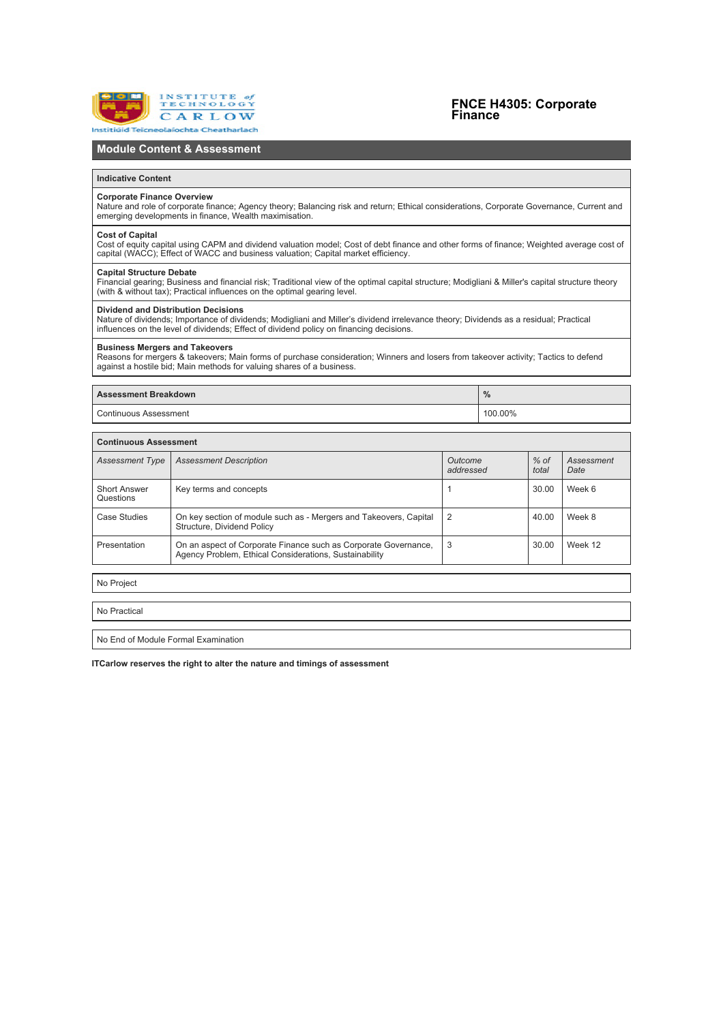

## **FNCE H4305: Corporate Finance**

## **Module Content & Assessment**

#### **Indicative Content**

#### **Corporate Finance Overview**

Nature and role of corporate finance; Agency theory; Balancing risk and return; Ethical considerations, Corporate Governance, Current and emerging developments in finance, Wealth maximisation.

#### **Cost of Capital**

Cost of equity capital using CAPM and dividend valuation model; Cost of debt finance and other forms of finance; Weighted average cost of<br>capital (WACC): Effect of WACC and business valuation: Capital market efficiency.

#### **Capital Structure Debate**

Financial gearing; Business and financial risk; Traditional view of the optimal capital structure; Modigliani & Miller's capital structure theory (with & without tax); Practical influences on the optimal gearing level.

#### **Dividend and Distribution Decisions**

Nature of dividends; Importance of dividends; Modigliani and Miller's dividend irrelevance theory; Dividends as a residual; Practical influences on the level of dividends; Effect of dividend policy on financing decisions.

### **Business Mergers and Takeovers**

Reasons for mergers & takeovers; Main forms of purchase consideration; Winners and losers from takeover activity; Tactics to defend against a hostile bid; Main methods for valuing shares of a business.

| <b>Assessment Breakdown</b> | $\frac{9}{6}$ |  |
|-----------------------------|---------------|--|
| Continuous Assessment       | 100.00%       |  |

| <b>Continuous Assessment</b>     |                                                                                                                           |                      |                 |                    |  |  |  |
|----------------------------------|---------------------------------------------------------------------------------------------------------------------------|----------------------|-----------------|--------------------|--|--|--|
| <b>Assessment Type</b>           | <b>Assessment Description</b>                                                                                             | Outcome<br>addressed | $%$ of<br>total | Assessment<br>Date |  |  |  |
| <b>Short Answer</b><br>Questions | Key terms and concepts                                                                                                    |                      | 30.00           | Week 6             |  |  |  |
| Case Studies                     | On key section of module such as - Mergers and Takeovers, Capital<br>Structure, Dividend Policy                           | 2                    | 40.00           | Week 8             |  |  |  |
| Presentation                     | On an aspect of Corporate Finance such as Corporate Governance,<br>Agency Problem, Ethical Considerations, Sustainability | 3                    | 30.00           | Week 12            |  |  |  |

No Project

No Practical

No End of Module Formal Examination

**ITCarlow reserves the right to alter the nature and timings of assessment**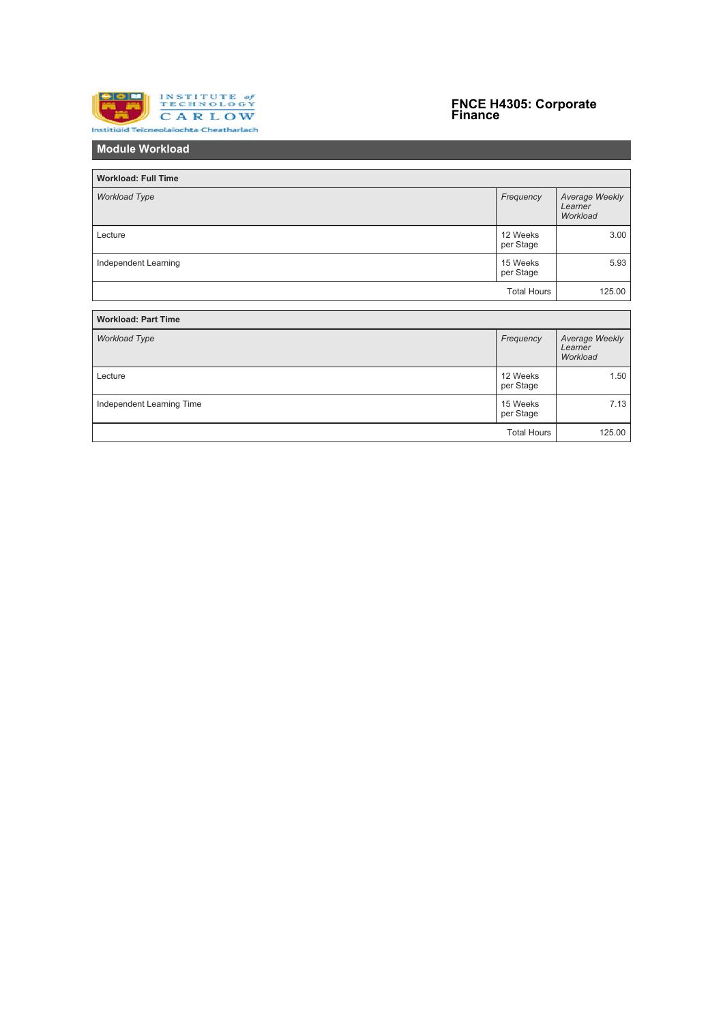

# **FNCE H4305: Corporate Finance**

**Module Workload**

| <b>Workload: Full Time</b> |                       |                                       |
|----------------------------|-----------------------|---------------------------------------|
| <b>Workload Type</b>       | Frequency             | Average Weekly<br>Learner<br>Workload |
| Lecture                    | 12 Weeks<br>per Stage | 3.00                                  |
| Independent Learning       | 15 Weeks<br>per Stage | 5.93                                  |
|                            | <b>Total Hours</b>    | 125.00                                |
|                            |                       |                                       |
| <b>Workload: Part Time</b> |                       |                                       |
| <b>Workload Type</b>       | Frequency             | Average Weekly<br>Learner<br>Workload |
| Lecture                    | 12 Weeks<br>per Stage | 1.50                                  |
| Independent Learning Time  | 15 Weeks<br>per Stage | 7.13                                  |
|                            | <b>Total Hours</b>    | 125.00                                |